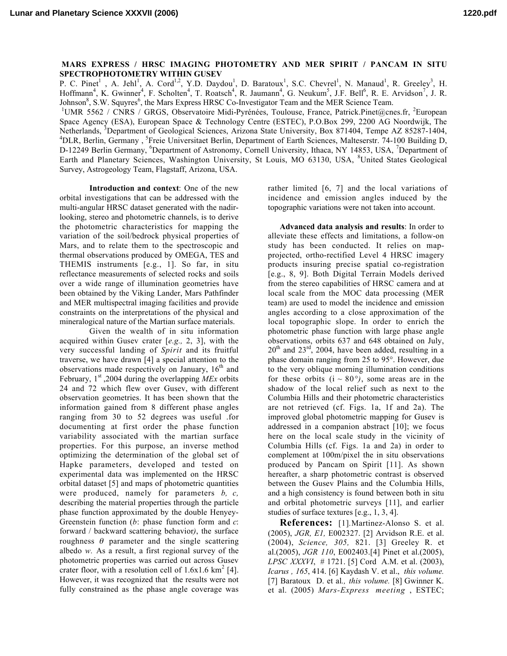## MARS EXPRESS / HRSC IMAGING PHOTOMETRY AND MER SPIRIT / PANCAM IN SITU SPECTROPHOTOMETRY WITHIN GUSEV

P. C. Pinet<sup>1</sup>, A. Jehl<sup>1</sup>, A. Cord<sup>1,2</sup>, Y.D. Daydou<sup>1</sup>, D. Baratoux<sup>1</sup>, S.C. Chevrel<sup>1</sup>, N. Manaud<sup>1</sup>, R. Greeley<sup>3</sup>, H. Hoffmann<sup>4</sup>, K. Gwinner<sup>4</sup>, F. Scholten<sup>4</sup>, T. Roatsch<sup>4</sup>, R. Jaumann<sup>4</sup>, G. Neukum<sup>5</sup>, J.F. Bell<sup>6</sup>, R. E. Arvidson<sup>7</sup>, J. R.  $J\text{ohnson}^8$ , S.W. Squyres<sup>6</sup>, the Mars Express HRSC Co-Investigator Team and the MER Science Team.

UMR 5562 / CNRS / GRGS, Observatoire Midi-Pyrénées, Toulouse, France, Patrick.Pinet@cnes.fr, <sup>2</sup>European Space Agency (ESA), European Space & Technology Centre (ESTEC), P.O.Box 299, 2200 AG Noordwijk, The Netherlands, <sup>3</sup>Department of Geological Sciences, Arizona State University, Box 871404, Tempe AZ 85287-1404, <sup>4</sup>DLB, Berlin, Germany, <sup>5</sup>Freig Universited Berlin, Department of Forth Sciences, Maltecentr, 74, 100 Building DLR, Berlin, Germany, <sup>5</sup>Freie Universitaet Berlin, Department of Earth Sciences, Malteserstr. 74-100 Building D, D-12249 Berlin Germany, <sup>6</sup>Department of Astronomy, Cornell University, Ithaca, NY 14853, USA, <sup>7</sup>Department of Earth and Planetary Sciences, Washington University, St Louis, MO 63130, USA, <sup>8</sup>United States Geological Survey, Astrogeology Team, Flagstaff, Arizona, USA.

Introduction and context: One of the new orbital investigations that can be addressed with the multi-angular HRSC dataset generated with the nadirlooking, stereo and photometric channels, is to derive the photometric characteristics for mapping the variation of the soil/bedrock physical properties of Mars, and to relate them to the spectroscopic and thermal observations produced by OMEGA, TES and THEMIS instruments [e.g., 1]. So far, in situ reflectance measurements of selected rocks and soils over a wide range of illumination geometries have been obtained by the Viking Lander, Mars Pathfinder and MER multispectral imaging facilities and provide constraints on the interpretations of the physical and mineralogical nature of the Martian surface materials.

Given the wealth of in situ information acquired within Gusev crater [*e.g.,* 2, 3], with the very successful landing of *Spirit* and its fruitful traverse, we have drawn [4] a special attention to the observations made respectively on January,  $16<sup>th</sup>$  and February,  $1<sup>st</sup>$ , 2004 during the overlapping *MEx* orbits 24 and 72 which flew over Gusev, with different observation geometries. It has been shown that the information gained from 8 different phase angles ranging from 30 to 52 degrees was useful .for documenting at first order the phase function variability associated with the martian surface properties. For this purpose, an inverse method optimizing the determination of the global set of Hapke parameters, developed and tested on experimental data was implemented on the HRSC orbital dataset [5] and maps of photometric quantities were produced, namely for parameters *b, c,* describing the material properties through the particle phase function approximated by the double Henyey-Greenstein function (*b*: phase function form and *c*: forward / backward scattering behavior*)*, the surface roughness  $θ$  parameter and the single scattering albedo *w.* As a result, a first regional survey of the photometric properties was carried out across Gusev crater floor, with a resolution cell of  $1.6x1.6 \text{ km}^2$  [4]. However, it was recognized that the results were not fully constrained as the phase angle coverage was

rather limited [6, 7] and the local variations of incidence and emission angles induced by the topographic variations were not taken into account.

Advanced data analysis and results: In order to alleviate these effects and limitations, a follow-on study has been conducted. It relies on mapprojected, ortho-rectified Level 4 HRSC imagery products insuring precise spatial co-registration [e.g., 8, 9]. Both Digital Terrain Models derived from the stereo capabilities of HRSC camera and at local scale from the MOC data processing (MER team) are used to model the incidence and emission angles according to a close approximation of the local topographic slope. In order to enrich the photometric phase function with large phase angle observations, orbits 637 and 648 obtained on July,  $20^{th}$  and  $23^{rd}$ ,  $2004$ , have been added, resulting in a phase domain ranging from 25 to 95°. However, due to the very oblique morning illumination conditions for these orbits  $(i \sim 80^{\circ})$ , some areas are in the shadow of the local relief such as next to the Columbia Hills and their photometric characteristics are not retrieved (cf. Figs. 1a, 1f and 2a). The improved global photometric mapping for Gusev is addressed in a companion abstract [10]; we focus here on the local scale study in the vicinity of Columbia Hills (cf. Figs. 1a and 2a) in order to complement at 100m/pixel the in situ observations produced by Pancam on Spirit [11]. As shown hereafter, a sharp photometric contrast is observed between the Gusev Plains and the Columbia Hills, and a high consistency is found between both in situ and orbital photometric surveys [11], and earlier studies of surface textures [e.g., 1, 3, 4].

References: [1]*.*Martinez-Alonso S. et al. (2005), *JGR, E1,* E002327. [2] Arvidson R.E. et al. (2004), *Science, 305,* 821. [3] Greeley R. et al.(2005), *JGR 110*, E002403.[4] Pinet et al.(2005), *LPSC XXXVI*, # 1721. [5] Cord A.M. et al. (2003), *Icarus , 165*, 414. [6] Kaydash V. et al., *this volume.* [7] Baratoux D. et al*., this volume.* [8] Gwinner K. et al. (2005) *Mars-Express meeting* , ESTEC;